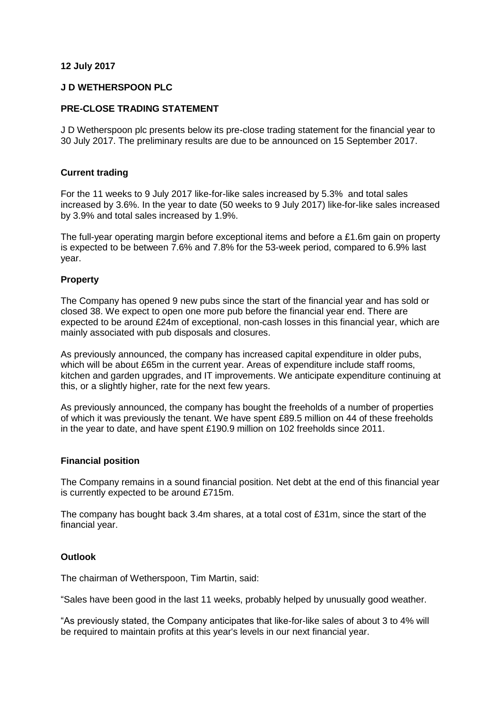## **12 July 2017**

### **J D WETHERSPOON PLC**

### **PRE-CLOSE TRADING STATEMENT**

J D Wetherspoon plc presents below its pre-close trading statement for the financial year to 30 July 2017. The preliminary results are due to be announced on 15 September 2017.

## **Current trading**

For the 11 weeks to 9 July 2017 like-for-like sales increased by 5.3% and total sales increased by 3.6%. In the year to date (50 weeks to 9 July 2017) like-for-like sales increased by 3.9% and total sales increased by 1.9%.

The full-year operating margin before exceptional items and before a £1.6m gain on property is expected to be between 7.6% and 7.8% for the 53-week period, compared to 6.9% last year.

## **Property**

The Company has opened 9 new pubs since the start of the financial year and has sold or closed 38. We expect to open one more pub before the financial year end. There are expected to be around £24m of exceptional, non-cash losses in this financial year, which are mainly associated with pub disposals and closures.

As previously announced, the company has increased capital expenditure in older pubs, which will be about £65m in the current year. Areas of expenditure include staff rooms, kitchen and garden upgrades, and IT improvements. We anticipate expenditure continuing at this, or a slightly higher, rate for the next few years.

As previously announced, the company has bought the freeholds of a number of properties of which it was previously the tenant. We have spent £89.5 million on 44 of these freeholds in the year to date, and have spent £190.9 million on 102 freeholds since 2011.

#### **Financial position**

The Company remains in a sound financial position. Net debt at the end of this financial year is currently expected to be around £715m.

The company has bought back 3.4m shares, at a total cost of £31m, since the start of the financial year.

#### **Outlook**

The chairman of Wetherspoon, Tim Martin, said:

"Sales have been good in the last 11 weeks, probably helped by unusually good weather.

"As previously stated, the Company anticipates that like-for-like sales of about 3 to 4% will be required to maintain profits at this year's levels in our next financial year.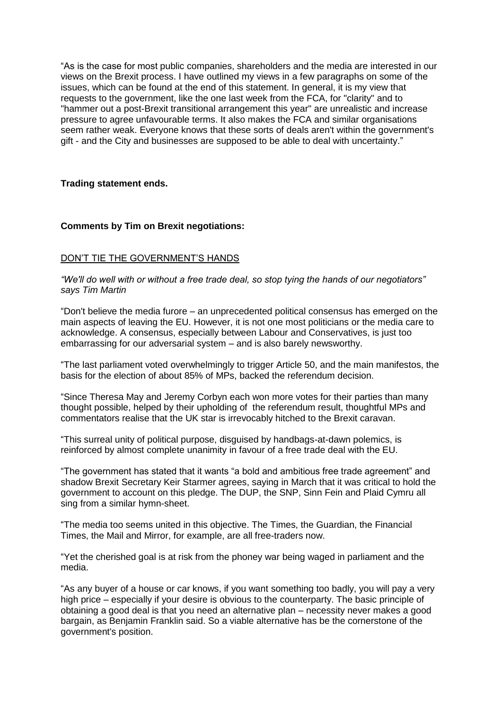"As is the case for most public companies, shareholders and the media are interested in our views on the Brexit process. I have outlined my views in a few paragraphs on some of the issues, which can be found at the end of this statement. In general, it is my view that requests to the government, like the one last week from the FCA, for "clarity" and to "hammer out a post-Brexit transitional arrangement this year" are unrealistic and increase pressure to agree unfavourable terms. It also makes the FCA and similar organisations seem rather weak. Everyone knows that these sorts of deals aren't within the government's gift - and the City and businesses are supposed to be able to deal with uncertainty."

## **Trading statement ends.**

## **Comments by Tim on Brexit negotiations:**

# DON'T TIE THE GOVERNMENT'S HANDS

*"We'll do well with or without a free trade deal, so stop tying the hands of our negotiators" says Tim Martin*

"Don't believe the media furore – an unprecedented political consensus has emerged on the main aspects of leaving the EU. However, it is not one most politicians or the media care to acknowledge. A consensus, especially between Labour and Conservatives, is just too embarrassing for our adversarial system – and is also barely newsworthy.

"The last parliament voted overwhelmingly to trigger Article 50, and the main manifestos, the basis for the election of about 85% of MPs, backed the referendum decision.

"Since Theresa May and Jeremy Corbyn each won more votes for their parties than many thought possible, helped by their upholding of the referendum result, thoughtful MPs and commentators realise that the UK star is irrevocably hitched to the Brexit caravan.

"This surreal unity of political purpose, disguised by handbags-at-dawn polemics, is reinforced by almost complete unanimity in favour of a free trade deal with the EU.

"The government has stated that it wants "a bold and ambitious free trade agreement" and shadow Brexit Secretary Keir Starmer agrees, saying in March that it was critical to hold the government to account on this pledge. The DUP, the SNP, Sinn Fein and Plaid Cymru all sing from a similar hymn-sheet.

"The media too seems united in this objective. The Times, the Guardian, the Financial Times, the Mail and Mirror, for example, are all free-traders now.

"Yet the cherished goal is at risk from the phoney war being waged in parliament and the media.

"As any buyer of a house or car knows, if you want something too badly, you will pay a very high price – especially if your desire is obvious to the counterparty. The basic principle of obtaining a good deal is that you need an alternative plan – necessity never makes a good bargain, as Benjamin Franklin said. So a viable alternative has be the cornerstone of the government's position.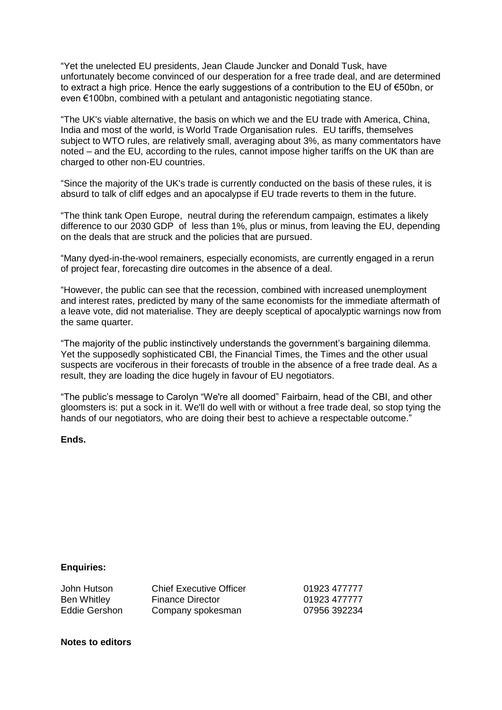"Yet the unelected EU presidents, Jean Claude Juncker and Donald Tusk, have unfortunately become convinced of our desperation for a free trade deal, and are determined to extract a high price. Hence the early suggestions of a contribution to the EU of €50bn, or even €100bn, combined with a petulant and antagonistic negotiating stance.

"The UK's viable alternative, the basis on which we and the EU trade with America, China, India and most of the world, is World Trade Organisation rules. EU tariffs, themselves subject to WTO rules, are relatively small, averaging about 3%, as many commentators have noted – and the EU, according to the rules, cannot impose higher tariffs on the UK than are charged to other non-EU countries.

"Since the majority of the UK's trade is currently conducted on the basis of these rules, it is absurd to talk of cliff edges and an apocalypse if EU trade reverts to them in the future.

"The think tank Open Europe, neutral during the referendum campaign, estimates a likely difference to our 2030 GDP of less than 1%, plus or minus, from leaving the EU, depending on the deals that are struck and the policies that are pursued.

"Many dyed-in-the-wool remainers, especially economists, are currently engaged in a rerun of project fear, forecasting dire outcomes in the absence of a deal.

"However, the public can see that the recession, combined with increased unemployment and interest rates, predicted by many of the same economists for the immediate aftermath of a leave vote, did not materialise. They are deeply sceptical of apocalyptic warnings now from the same quarter.

"The majority of the public instinctively understands the government's bargaining dilemma. Yet the supposedly sophisticated CBI, the Financial Times, the Times and the other usual suspects are vociferous in their forecasts of trouble in the absence of a free trade deal. As a result, they are loading the dice hugely in favour of EU negotiators.

"The public's message to Carolyn "We're all doomed" Fairbairn, head of the CBI, and other gloomsters is: put a sock in it. We'll do well with or without a free trade deal, so stop tying the hands of our negotiators, who are doing their best to achieve a respectable outcome."

## **Ends.**

#### **Enquiries:**

| John Hutson        | <b>Chief Executive Officer</b> | 01923 477777 |
|--------------------|--------------------------------|--------------|
| <b>Ben Whitley</b> | <b>Finance Director</b>        | 01923 477777 |
| Eddie Gershon      | Company spokesman              | 07956 392234 |

### **Notes to editors**